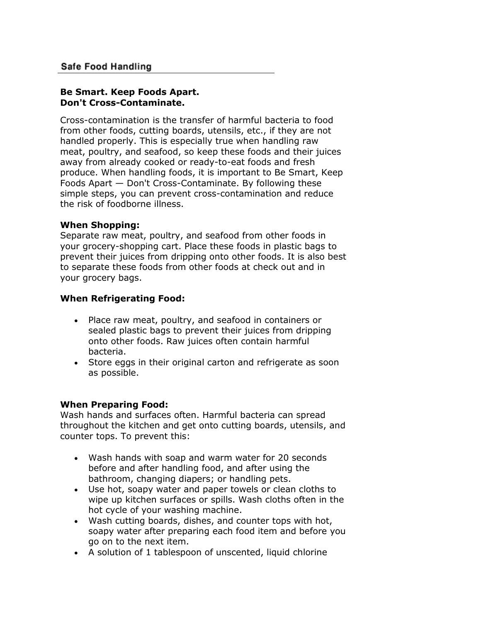## Safe Food Handling

### **Be Smart. Keep Foods Apart. Don't Cross-Contaminate.**

Cross-contamination is the transfer of harmful bacteria to food from other foods, cutting boards, utensils, etc., if they are not handled properly. This is especially true when handling raw meat, poultry, and seafood, so keep these foods and their juices away from already cooked or ready-to-eat foods and fresh produce. When handling foods, it is important to Be Smart, Keep Foods Apart — Don't Cross-Contaminate. By following these simple steps, you can prevent cross-contamination and reduce the risk of foodborne illness.

### **When Shopping:**

Separate raw meat, poultry, and seafood from other foods in your grocery-shopping cart. Place these foods in plastic bags to prevent their juices from dripping onto other foods. It is also best to separate these foods from other foods at check out and in your grocery bags.

## **When Refrigerating Food:**

- Place raw meat, poultry, and seafood in containers or sealed plastic bags to prevent their juices from dripping onto other foods. Raw juices often contain harmful bacteria.
- Store eggs in their original carton and refrigerate as soon as possible.

#### **When Preparing Food:**

Wash hands and surfaces often. Harmful bacteria can spread throughout the kitchen and get onto cutting boards, utensils, and counter tops. To prevent this:

- Wash hands with soap and warm water for 20 seconds before and after handling food, and after using the bathroom, changing diapers; or handling pets.
- Use hot, soapy water and paper towels or clean cloths to wipe up kitchen surfaces or spills. Wash cloths often in the hot cycle of your washing machine.
- Wash cutting boards, dishes, and counter tops with hot, soapy water after preparing each food item and before you go on to the next item.
- A solution of 1 tablespoon of unscented, liquid chlorine